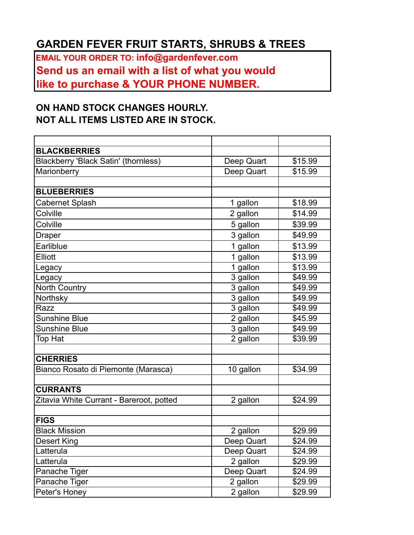## **GARDEN FEVER FRUIT STARTS, SHRUBS & TREES**

**EMAIL YOUR ORDER TO: info@gardenfever.com Send us an email with a list of what you would like to purchase & YOUR PHONE NUMBER.** 

## **ON HAND STOCK CHANGES HOURLY. NOT ALL ITEMS LISTED ARE IN STOCK.**

| <b>BLACKBERRIES</b>                      |                       |         |
|------------------------------------------|-----------------------|---------|
| Blackberry 'Black Satin' (thornless)     | Deep Quart            | \$15.99 |
| Marionberry                              | Deep Quart            | \$15.99 |
|                                          |                       |         |
| <b>BLUEBERRIES</b>                       |                       |         |
| <b>Cabernet Splash</b>                   | 1 gallon              | \$18.99 |
| Colville                                 | 2 gallon              | \$14.99 |
| Colville                                 | 5 gallon              | \$39.99 |
| <b>Draper</b>                            | 3 gallon              | \$49.99 |
| Earliblue                                | 1 gallon              | \$13.99 |
| <b>Elliott</b>                           | 1 gallon              | \$13.99 |
| Legacy                                   | 1 gallon              | \$13.99 |
| Legacy                                   | 3 gallon              | \$49.99 |
| North Country                            | $\overline{3}$ gallon | \$49.99 |
| Northsky                                 | 3 gallon              | \$49.99 |
| Razz                                     | 3 gallon              | \$49.99 |
| Sunshine Blue                            | 2 gallon              | \$45.99 |
| <b>Sunshine Blue</b>                     | 3 gallon              | \$49.99 |
| Top Hat                                  | $\overline{2}$ gallon | \$39.99 |
|                                          |                       |         |
| <b>CHERRIES</b>                          |                       |         |
| Bianco Rosato di Piemonte (Marasca)      | 10 gallon             | \$34.99 |
|                                          |                       |         |
| <b>CURRANTS</b>                          |                       |         |
| Zitavia White Currant - Bareroot, potted | 2 gallon              | \$24.99 |
| <b>FIGS</b>                              |                       |         |
| <b>Black Mission</b>                     | 2 gallon              | \$29.99 |
| <b>Desert King</b>                       | Deep Quart            | \$24.99 |
| Latterula                                | Deep Quart            | \$24.99 |
| Latterula                                | 2 gallon              | \$29.99 |
| Panache Tiger                            | Deep Quart            | \$24.99 |
| Panache Tiger                            | 2 gallon              | \$29.99 |
| Peter's Honey                            | 2 gallon              | \$29.99 |
|                                          |                       |         |